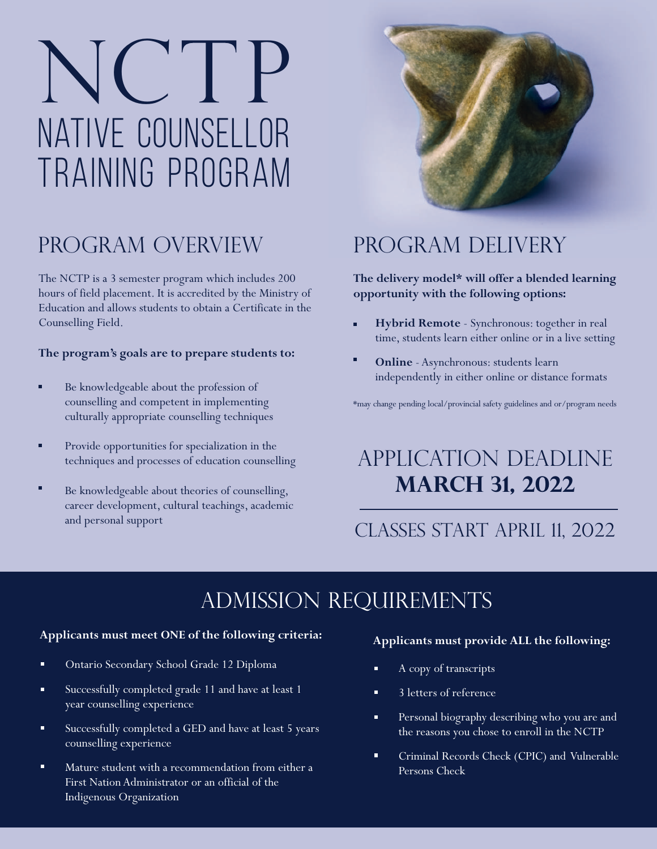# NATIVE COUNSELLOR TRAINING PROGRAM NC P

### PROGRAM OVERVIEW

The NCTP is a 3 semester program which includes 200 hours of field placement. It is accredited by the Ministry of Education and allows students to obtain a Certificate in the Counselling Field.

#### **The program's goals are to prepare students to:**

- п Be knowledgeable about the profession of counselling and competent in implementing culturally appropriate counselling techniques
- Provide opportunities for specialization in the techniques and processes of education counselling
- Be knowledgeable about theories of counselling, career development, cultural teachings, academic and personal support



## PROGRAM DELIVERY

#### **The delivery model\* will offer a blended learning opportunity with the following options:**

- **Hybrid Remote** Synchronous: together in real a. time, students learn either online or in a live setting
- **Online** Asynchronous: students learn independently in either online or distance formats

\*may change pending local/provincial safety guidelines and or/program needs

### Application Deadline **March 31, 2022**

### CLASSES START April 11, 2022

### admission requirements

#### **Applicants must meet ONE of the following criteria:**

- Ontario Secondary School Grade 12 Diploma
- Successfully completed grade 11 and have at least 1  $\blacksquare$ year counselling experience
- Successfully completed a GED and have at least 5 years counselling experience
- Mature student with a recommendation from either a First Nation Administrator or an official of the Indigenous Organization

#### **Applicants must provide ALL the following:**

- A copy of transcripts
- 3 letters of reference
- n. Personal biography describing who you are and the reasons you chose to enroll in the NCTP
- 'n. Criminal Records Check (CPIC) and Vulnerable Persons Check